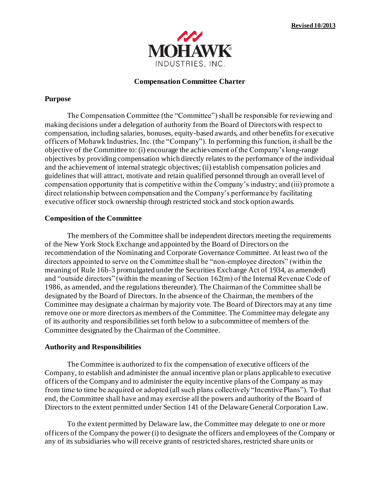

### **Compensation Committee Charter**

### **Purpose**

The Compensation Committee (the "Committee") shall be responsible for reviewing and making decisions under a delegation of authority from the Board of Directors with respect to compensation, including salaries, bonuses, equity-based awards, and other benefits for executive officers of Mohawk Industries, Inc. (the "Company"). In performing this function, it shall be the objective of the Committee to: (i) encourage the achievement of the Company's long-range objectives by providing compensation which directly relates to the performance of the individual and the achievement of internal strategic objectives; (ii) establish compensation policies and guidelines that will attract, motivate and retain qualified personnel through an overall level of compensation opportunity that is competitive within the Company's industry; and (iii) promote a direct relationship between compensation and the Company's performance by facilitating executive officer stock ownership through restricted stock and stock option awards.

# **Composition of the Committee**

The members of the Committee shall be independent directors meeting the requirements of the New York Stock Exchange and appointed by the Board of Directors on the recommendation of the Nominating and Corporate Governance Committee. At least two of the directors appointed to serve on the Committee shall be "non-employee directors" (within the meaning of Rule 16b-3 promulgated under the Securities Exchange Act of 1934, as amended) and "outside directors" (within the meaning of Section 162(m) of the Internal Revenue Code of 1986, as amended, and the regulations thereunder). The Chairman of the Committee shall be designated by the Board of Directors. In the absence of the Chairman, the members of the Committee may designate a chairman by majority vote. The Board of Directors may at any time remove one or more directors as members of the Committee. The Committee may delegate any of its authority and responsibilities set forth below to a subcommittee of members of the Committee designated by the Chairman of the Committee.

# **Authority and Responsibilities**

The Committee is authorized to fix the compensation of executive officers of the Company, to establish and administer the annual incentive plan or plans applicable to executive officers of the Company and to administer the equity incentive plans of the Company as may from time to time be acquired or adopted (all such plans collectively "Incentive Plans"). To that end, the Committee shall have and may exercise all the powers and authority of the Board of Directors to the extent permitted under Section 141 of the Delaware General Corporation Law.

To the extent permitted by Delaware law, the Committee may delegate to one or more officers of the Company the power (i) to designate the officers and employees of the Company or any of its subsidiaries who will receive grants of restricted shares, restricted share units or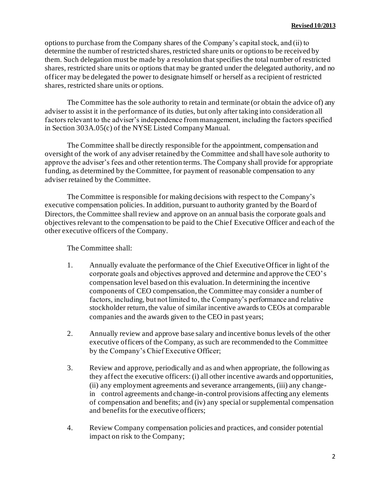options to purchase from the Company shares of the Company's capital stock, and (ii) to determine the number of restricted shares, restricted share units or options to be received by them. Such delegation must be made by a resolution that specifies the total number of restricted shares, restricted share units or options that may be granted under the delegated authority, and no officer may be delegated the power to designate himself or herself as a recipient of restricted shares, restricted share units or options.

The Committee has the sole authority to retain and terminate (or obtain the advice of) any adviser to assist it in the performance of its duties, but only after taking into consideration all factors relevant to the adviser's independence from management, including the factors specified in Section 303A.05(c) of the NYSE Listed Company Manual.

The Committee shall be directly responsible for the appointment, compensation and oversight of the work of any adviser retained by the Committee and shall have sole authority to approve the adviser's fees and other retention terms. The Company shall provide for appropriate funding, as determined by the Committee, for payment of reasonable compensation to any adviser retained by the Committee.

The Committee is responsible for making decisions with respect to the Company's executive compensation policies. In addition, pursuant to authority granted by the Board of Directors, the Committee shall review and approve on an annual basis the corporate goals and objectives relevant to the compensation to be paid to the Chief Executive Officer and each of the other executive officers of the Company.

The Committee shall:

- 1. Annually evaluate the performance of the Chief Executive Officer in light of the corporate goals and objectives approved and determine and approve the CEO's compensation level based on this evaluation. In determining the incentive components of CEO compensation, the Committee may consider a number of factors, including, but not limited to, the Company's performance and relative stockholder return, the value of similar incentive awards to CEOs at comparable companies and the awards given to the CEO in past years;
- 2. Annually review and approve base salary and incentive bonus levels of the other executive officers of the Company, as such are recommended to the Committee by the Company's Chief Executive Officer;
- 3. Review and approve, periodically and as and when appropriate, the following as they affect the executive officers: (i) all other incentive awards and opportunities, (ii) any employment agreements and severance arrangements, (iii) any changein control agreements and change-in-control provisions affecting any elements of compensation and benefits; and (iv) any special or supplemental compensation and benefits for the executive officers;
- 4. Review Company compensation policies and practices, and consider potential impact on risk to the Company;